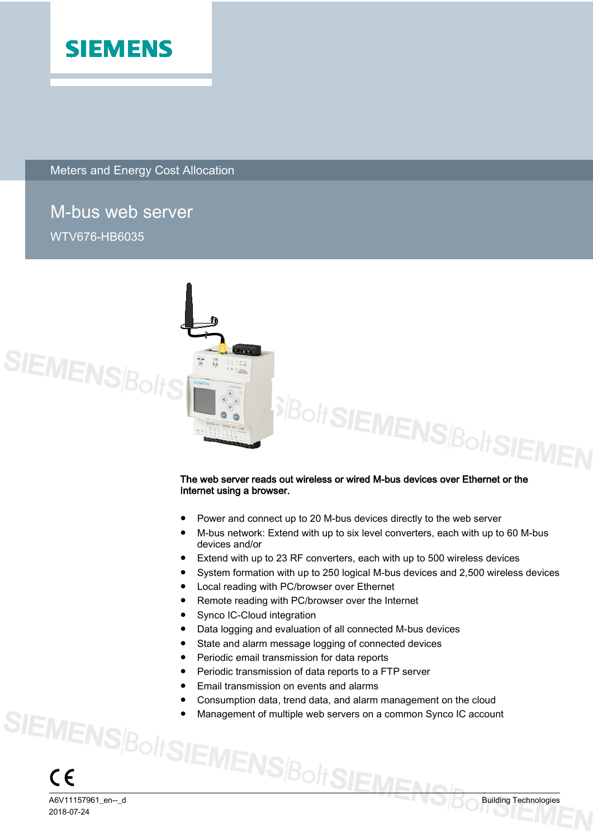

Meters and Energy Cost Allocation

### M-bus web server

WTV676-HB6035



## Internet using a browser.

- Power and connect up to 20 M-bus devices directly to the web server
- M-bus network: Extend with up to six level converters, each with up to 60 M-bus devices and/or
- Extend with up to 23 RF converters, each with up to 500 wireless devices
- System formation with up to 250 logical M-bus devices and 2,500 wireless devices
- Local reading with PC/browser over Ethernet
- Remote reading with PC/browser over the Internet
- Synco IC-Cloud integration
- Data logging and evaluation of all connected M-bus devices
- State and alarm message logging of connected devices
- Periodic email transmission for data reports
- Periodic transmission of data reports to a FTP server
- Email transmission on events and alarms
- Consumption data, trend data, and alarm management on the cloud
- SIEMENS $\beta_{\text{O}}$  // SIEMENS $\beta_{\text{O}}$ // SIEMENS $\beta_{\text{O}}$  building Technologies Management of multiple web servers on a common Synco IC account

2018-07-24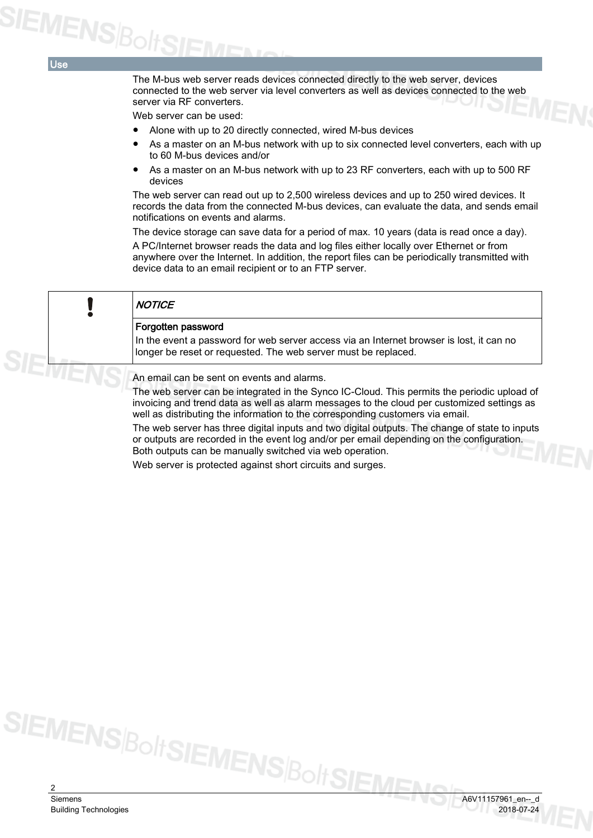Use

The M-bus web server reads devices connected directly to the web server, devices connected to the web server via level converters as well as devices connected to the web server via RF converters.

Web server can be used:

- Alone with up to 20 directly connected, wired M-bus devices
- As a master on an M-bus network with up to six connected level converters, each with up to 60 M-bus devices and/or
- As a master on an M-bus network with up to 23 RF converters, each with up to 500 RF devices

The web server can read out up to 2,500 wireless devices and up to 250 wired devices. It records the data from the connected M-bus devices, can evaluate the data, and sends email notifications on events and alarms.

The device storage can save data for a period of max. 10 years (data is read once a day).

A PC/Internet browser reads the data and log files either locally over Ethernet or from anywhere over the Internet. In addition, the report files can be periodically transmitted with device data to an email recipient or to an FTP server.

| <b>NOTICE</b>                                                                                                                                                                                                                                                               |
|-----------------------------------------------------------------------------------------------------------------------------------------------------------------------------------------------------------------------------------------------------------------------------|
| Forgotten password<br>In the event a password for web server access via an Internet browser is lost, it can no<br>longer be reset or requested. The web server must be replaced.                                                                                            |
| An email can be sent on events and alarms.                                                                                                                                                                                                                                  |
| The web server can be integrated in the Synco IC-Cloud. This permits the periodic upload of<br>invoicing and trend data as well as alarm messages to the cloud per customized settings as<br>well as distributing the information to the corresponding customers via email. |
| The web server has three digital inputs and two digital outputs. The change of state to inputs<br>or outputs are recorded in the event log and/or per email depending on the configuration.<br>Both outputs can be manually switched via web operation.                     |

Web server is protected against short circuits and surges.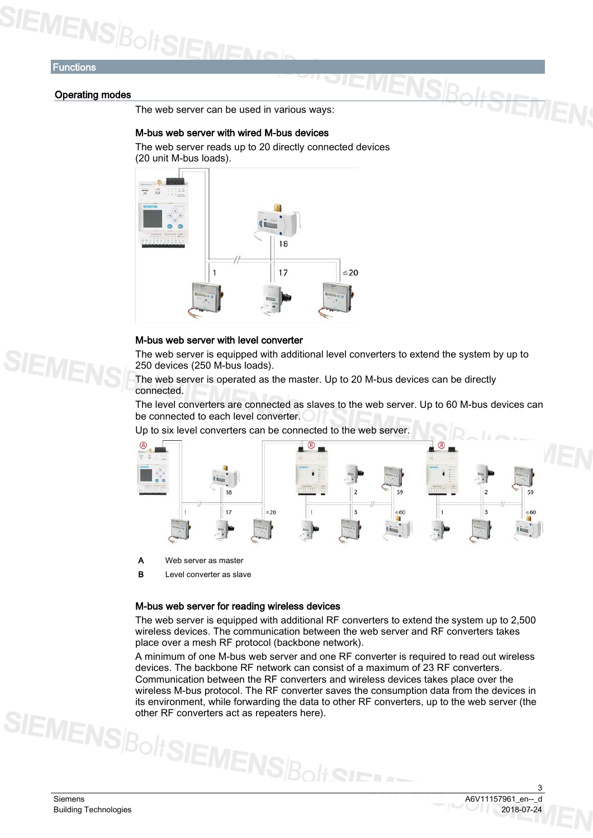## SIEMENS BoltSIE

#### **Functions**

#### Operating modes

The web server can be used in various ways:

#### M-bus web server with wired M-bus devices

The web server reads up to 20 directly connected devices (20 unit M-bus loads).



#### M-bus web server with level converter

The web server is equipped with additional level converters to extend the system by up to 250 devices (250 M-bus loads).

**IVIENSR** 

The web server is operated as the master. Up to 20 M-bus devices can be directly connected.

The level converters are connected as slaves to the web server. Up to 60 M-bus devices can be connected to each level converter.

Up to six level converters can be connected to the web server.



A Web server as master

B Level converter as slave

#### M-bus web server for reading wireless devices

The web server is equipped with additional RF converters to extend the system up to 2,500 wireless devices. The communication between the web server and RF converters takes place over a mesh RF protocol (backbone network).

A minimum of one M-bus web server and one RF converter is required to read out wireless devices. The backbone RF network can consist of a maximum of 23 RF converters. Communication between the RF converters and wireless devices takes place over the wireless M-bus protocol. The RF converter saves the consumption data from the devices in its environment, while forwarding the data to other RF converters, up to the web server (the other RF converters act as repeaters here).

3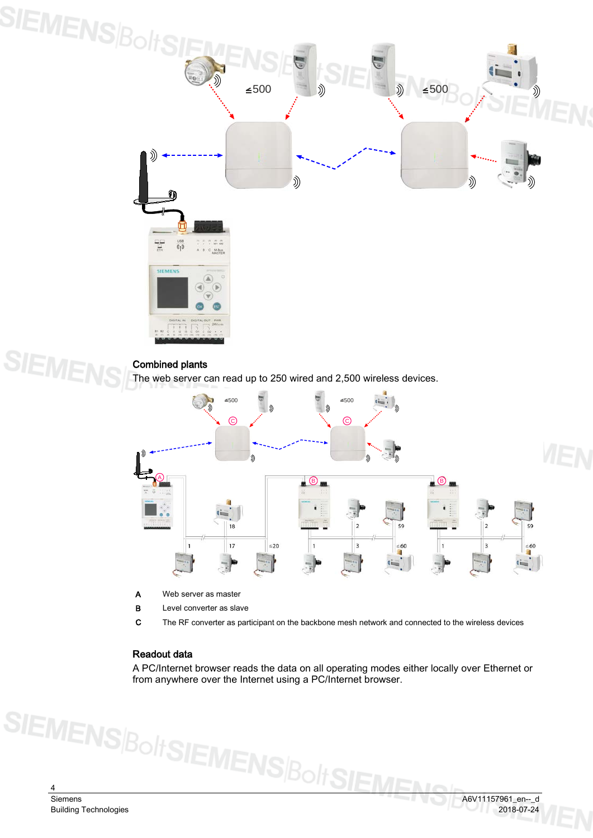

#### Combined plants

**SIEME** 

The web server can read up to 250 wired and 2,500 wireless devices.



- A Web server as master
- **B** Level converter as slave

C The RF converter as participant on the backbone mesh network and connected to the wireless devices

#### Readout data

A PC/Internet browser reads the data on all operating modes either locally over Ethernet or from anywhere over the Internet using a PC/Internet browser.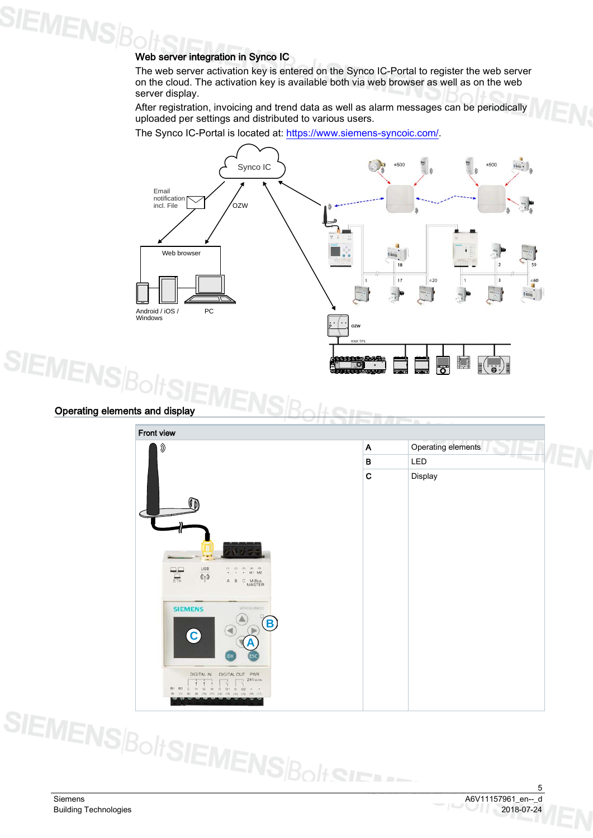## **SIEMENS Boltonic in Synco IC**<br>Web server integration in Synco IC

The web server activation key is entered on the Synco IC-Portal to register the web server on the cloud. The activation key is available both via web browser as well as on the web server display.

After registration, invoicing and trend data as well as alarm messages can be periodically uploaded per settings and distributed to various users.

The Synco IC-Portal is located at: [https://www.siemens-syncoic.com/.](https://www.siemens-syncoic.com/)



#### Operating elements and display



5<br>A6V11157961\_en--\_d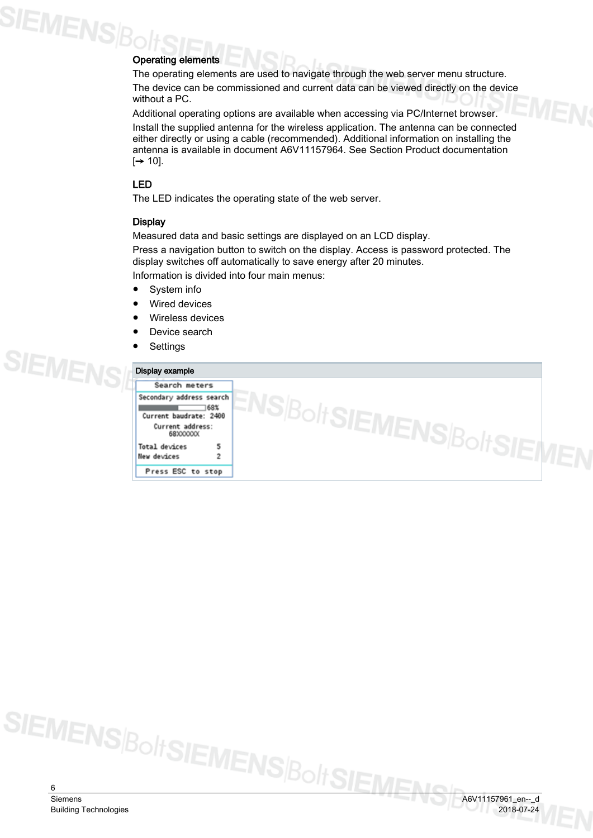## SIEMENS|Bo Operating elements

The operating elements are used to navigate through the web server menu structure. The device can be commissioned and current data can be viewed directly on the device without a PC.

Additional operating options are available when accessing via PC/Internet browser.

Install the supplied antenna for the wireless application. The antenna can be connected either directly or using a cable (recommended). Additional information on installing the antenna is available in document A6V11157964. See Section [Product documentation](#page-9-0)   $[\rightarrow 10]$ .

#### LED

The LED indicates the operating state of the web server.

#### **Display**

Measured data and basic settings are displayed on an LCD display.

Press a navigation button to switch on the display. Access is password protected. The display switches off automatically to save energy after 20 minutes.

Information is divided into four main menus:

- System info
- **Wired devices**
- Wireless devices
- Device search
- **Settings**

| Display example                |        |
|--------------------------------|--------|
| Search meters                  |        |
| Secondary address search       |        |
| 168%<br>Current baudrate: 2400 | JISIE- |
| Current address:<br>68XXXXXX   |        |
| Total devices                  |        |
| <b>New devices</b><br>2        |        |

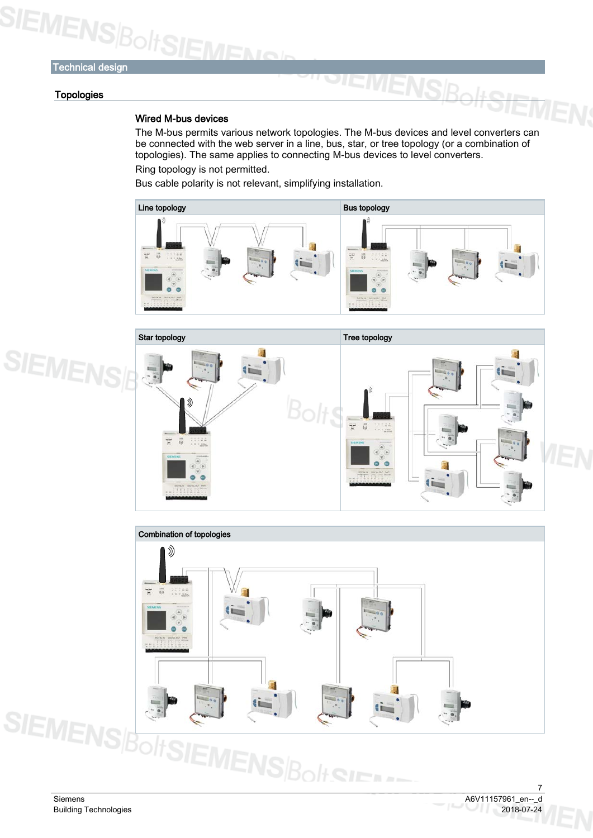#### **Topologies**

#### Wired M-bus devices

The M-bus permits various network topologies. The M-bus devices and level converters can be connected with the web server in a line, bus, star, or tree topology (or a combination of topologies). The same applies to connecting M-bus devices to level converters. Ring topology is not permitted.

**EMEN** 

Bus cable polarity is not relevant, simplifying installation.





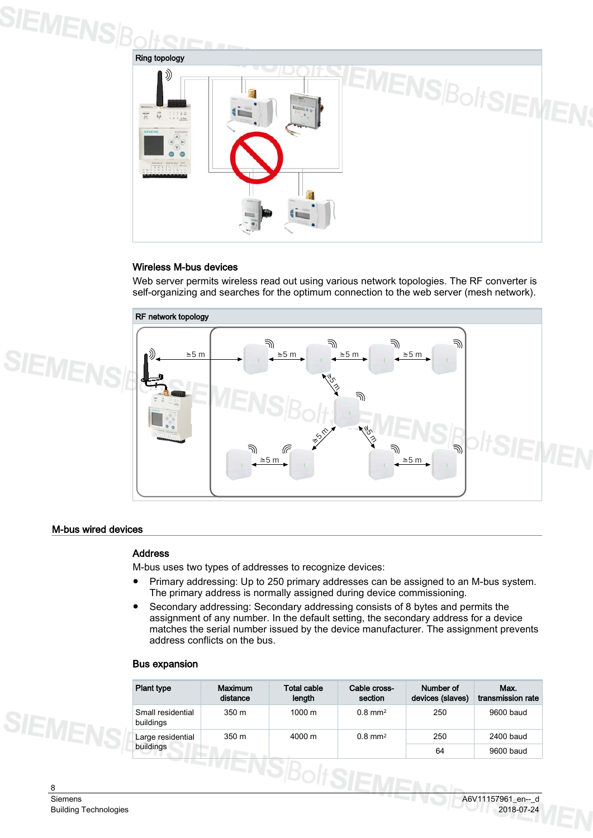



#### Wireless M-bus devices

Web server permits wireless read out using various network topologies. The RF converter is self-organizing and searches for the optimum connection to the web server (mesh network).



#### M-bus wired devices

#### Address

M-bus uses two types of addresses to recognize devices:

- Primary addressing: Up to 250 primary addresses can be assigned to an M-bus system. The primary address is normally assigned during device commissioning.
- Secondary addressing: Secondary addressing consists of 8 bytes and permits the assignment of any number. In the default setting, the secondary address for a device matches the serial number issued by the device manufacturer. The assignment prevents address conflicts on the bus.

#### Bus expansion

| <b>Plant type</b>              | <b>Maximum</b><br>distance | Total cable<br>length | Cable cross-<br>section | Number of<br>devices (slaves) | Max.<br>transmission rate |
|--------------------------------|----------------------------|-----------------------|-------------------------|-------------------------------|---------------------------|
| Small residential<br>buildings | 350 <sub>m</sub>           | $1000 \; \text{m}$    | $0.8 \text{ mm}^2$      | 250                           | 9600 baud                 |
| Large residential              | 350 m                      | 4000 m                | $0.8$ mm <sup>2</sup>   | 250                           | 2400 baud                 |
| buildings                      |                            |                       |                         | 64                            | 9600 baud                 |

**SIEMENS**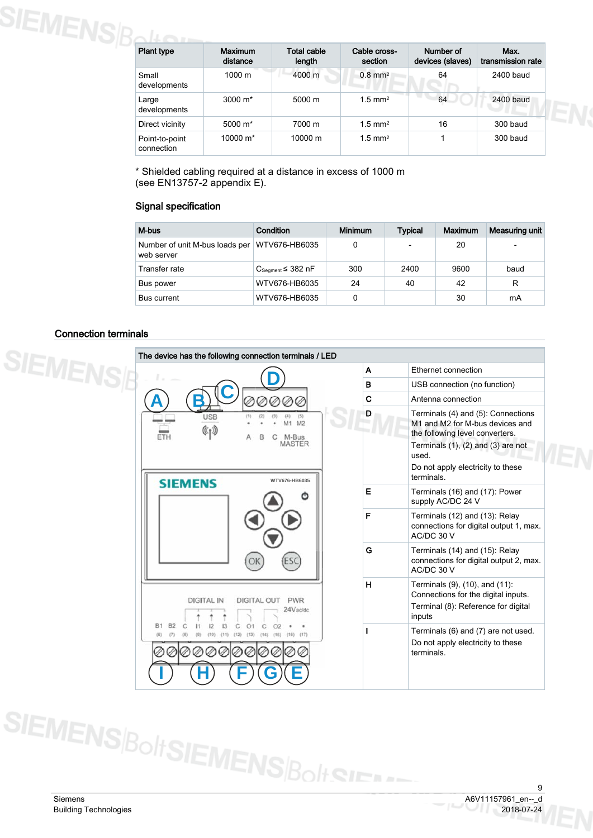| <b>Plant type</b>            | <b>Maximum</b><br>distance | <b>Total cable</b><br>length | Cable cross-<br>section | Number of<br>devices (slaves) | Max.<br>transmission rate |
|------------------------------|----------------------------|------------------------------|-------------------------|-------------------------------|---------------------------|
| Small<br>developments        | 1000 m                     | 4000 m                       | $0.8$ mm <sup>2</sup>   | 64                            | 2400 baud                 |
| Large<br>developments        | $3000 \; \text{m}^*$       | 5000 m                       | $1.5$ mm <sup>2</sup>   | 64                            | 2400 baud                 |
| Direct vicinity              | 5000 m <sup>*</sup>        | 7000 m                       | $1.5$ mm <sup>2</sup>   | 16                            | 300 baud                  |
| Point-to-point<br>connection | 10000 m <sup>*</sup>       | 10000 m                      | $1.5$ mm <sup>2</sup>   |                               | 300 baud                  |

\* Shielded cabling required at a distance in excess of 1000 m (see EN13757-2 appendix E).

#### Signal specification

| M-bus                                                        | Condition                 | <b>Minimum</b> | <b>Typical</b>           | Maximum | Measuring unit |
|--------------------------------------------------------------|---------------------------|----------------|--------------------------|---------|----------------|
| Number of unit M-bus loads per   WTV676-HB6035<br>web server |                           | 0              | $\overline{\phantom{0}}$ | 20      | ٠              |
| Transfer rate                                                | $C_{Seament} \leq 382$ nF | 300            | 2400                     | 9600    | baud           |
| Bus power                                                    | WTV676-HB6035             | 24             | 40                       | 42      | R              |
| <b>Bus current</b>                                           | WTV676-HB6035             | 0              |                          | 30      | mA             |

#### Connection terminals

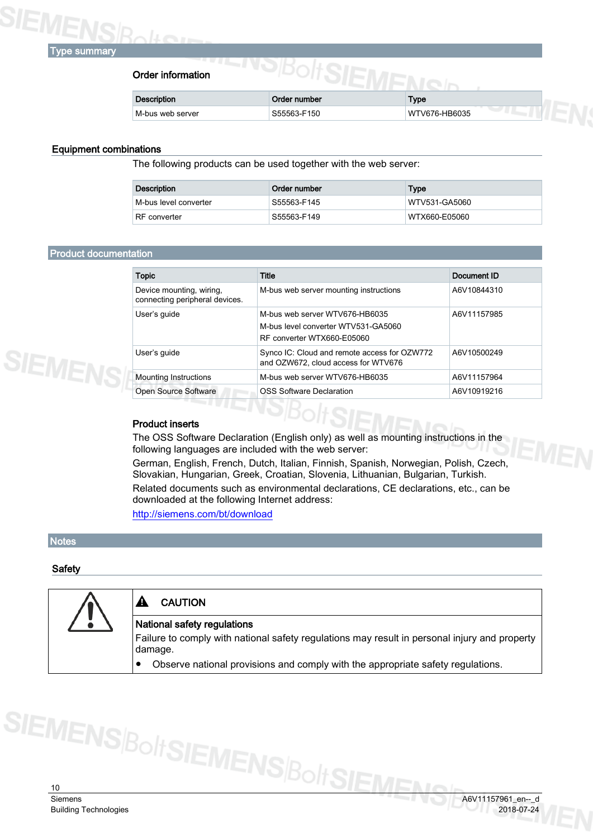

#### Order information

| Order information  |              |               |  |
|--------------------|--------------|---------------|--|
| <b>Description</b> | Order number | Type          |  |
| M-bus web server   | S55563-F150  | WTV676-HB6035 |  |

#### Equipment combinations

The following products can be used together with the web server:

| Description             | Order number | Type          |
|-------------------------|--------------|---------------|
| l M-bus level converter | S55563-F145  | WTV531-GA5060 |
| RF converter            | S55563-F149  | WTX660-E05060 |

#### <span id="page-9-0"></span>Product documentation

| <b>Topic</b>                                               | Title                                                                                               | Document ID |
|------------------------------------------------------------|-----------------------------------------------------------------------------------------------------|-------------|
| Device mounting, wiring,<br>connecting peripheral devices. | M-bus web server mounting instructions                                                              | A6V10844310 |
| User's guide                                               | M-bus web server WTV676-HB6035<br>M-bus level converter WTV531-GA5060<br>RF converter WTX660-E05060 | A6V11157985 |
| User's guide                                               | Synco IC: Cloud and remote access for OZW772<br>and OZW672, cloud access for WTV676                 | A6V10500249 |
| <b>Mounting Instructions</b>                               | M-bus web server WTV676-HB6035                                                                      | A6V11157964 |
| Open Source Software                                       | <b>OSS Software Declaration</b>                                                                     | A6V10919216 |

#### Product inserts

The OSS Software Declaration (English only) as well as mounting instructions in the following languages are included with the web server:

German, English, French, Dutch, Italian, Finnish, Spanish, Norwegian, Polish, Czech, Slovakian, Hungarian, Greek, Croatian, Slovenia, Lithuanian, Bulgarian, Turkish. Related documents such as environmental declarations, CE declarations, etc., can be downloaded at the following Internet address:

<http://siemens.com/bt/download>

#### **Notes**

#### **Safety**

| <b>CAUTION</b>                                                                                           |
|----------------------------------------------------------------------------------------------------------|
| National safety regulations                                                                              |
| Failure to comply with national safety regulations may result in personal injury and property<br>damage. |
| Observe national provisions and comply with the appropriate safety regulations.                          |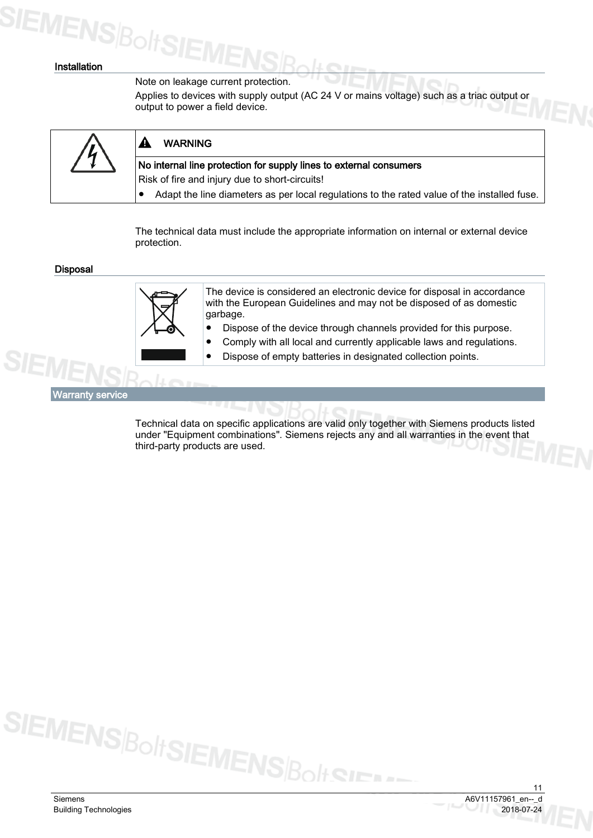## **SIEMENS**BoltSI

#### Installation

#### Note on leakage current protection.

Applies to devices with supply output (AC 24 V or mains voltage) such as a triac output or output to power a field device.



The technical data must include the appropriate information on internal or external device protection.

Disposal



The device is considered an electronic device for disposal in accordance with the European Guidelines and may not be disposed of as domestic garbage.

- Dispose of the device through channels provided for this purpose.
	- Comply with all local and currently applicable laws and regulations.
- Dispose of empty batteries in designated collection points.

Warranty service

Technical data on specific applications are valid only together with Siemens products listed under "Equipment combinations". Siemens rejects any and all warranties in the event that third-party products are used.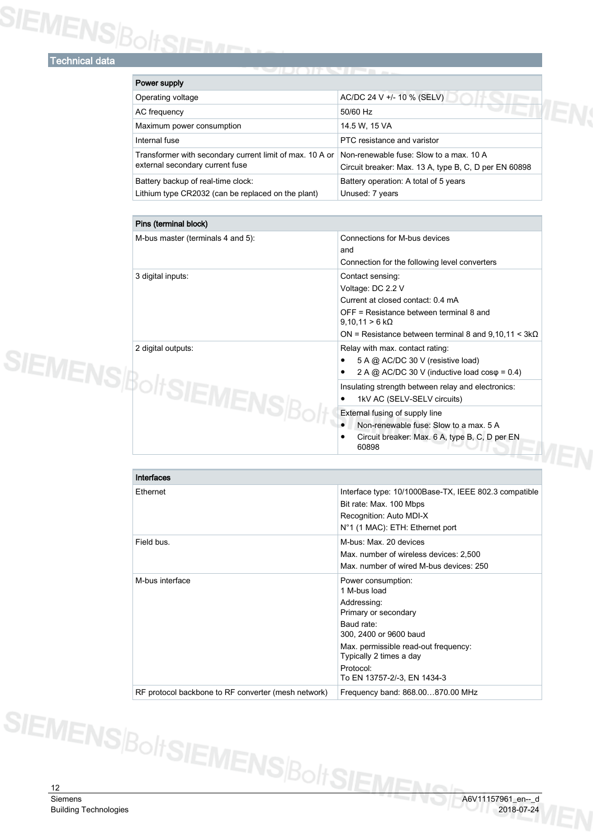# SIEMENS BoltSIEME

| Power supply                                                                                |                                                                                                  |
|---------------------------------------------------------------------------------------------|--------------------------------------------------------------------------------------------------|
| Operating voltage                                                                           | AC/DC 24 V +/- 10 % (SELV)                                                                       |
| AC frequency                                                                                | 50/60 Hz                                                                                         |
| Maximum power consumption                                                                   | 14.5 W, 15 VA                                                                                    |
| Internal fuse                                                                               | PTC resistance and varistor                                                                      |
| Transformer with secondary current limit of max. 10 A or<br>external secondary current fuse | Non-renewable fuse: Slow to a max, 10 A<br>Circuit breaker: Max. 13 A, type B, C, D per EN 60898 |
| Battery backup of real-time clock:<br>Lithium type CR2032 (can be replaced on the plant)    | Battery operation: A total of 5 years<br>Unused: 7 years                                         |

| Pins (terminal block)             |                                                                                                                                                                                                                          |
|-----------------------------------|--------------------------------------------------------------------------------------------------------------------------------------------------------------------------------------------------------------------------|
| M-bus master (terminals 4 and 5): | Connections for M-bus devices<br>and<br>Connection for the following level converters                                                                                                                                    |
| 3 digital inputs:                 | Contact sensing:<br>Voltage: DC 2.2 V<br>Current at closed contact: 0.4 mA<br>OFF = Resistance between terminal 8 and<br>$9,10,11 > 6 k\Omega$<br>ON = Resistance between terminal 8 and 9,10,11 < $3k\Omega$            |
| 2 digital outputs:                | Relay with max. contact rating:<br>5 A @ AC/DC 30 V (resistive load)<br>2 A @ AC/DC 30 V (inductive load $cos\varphi = 0.4$ )                                                                                            |
| SIEMENSIB <sub>O</sub>            | Insulating strength between relay and electronics:<br>1kV AC (SELV-SELV circuits)<br>External fusing of supply line<br>Non-renewable fuse: Slow to a max, 5 A<br>Circuit breaker: Max. 6 A, type B, C, D per EN<br>60898 |

| Interfaces                                          |                                                                                                                                                                                                                                  |
|-----------------------------------------------------|----------------------------------------------------------------------------------------------------------------------------------------------------------------------------------------------------------------------------------|
| <b>Fthernet</b>                                     | Interface type: 10/1000Base-TX, IEEE 802.3 compatible<br>Bit rate: Max. 100 Mbps<br>Recognition: Auto MDI-X<br>N°1 (1 MAC): ETH: Ethernet port                                                                                   |
| Field bus.                                          | M-bus: Max. 20 devices<br>Max. number of wireless devices: 2,500<br>Max, number of wired M-bus devices: 250                                                                                                                      |
| M-bus interface                                     | Power consumption:<br>1 M-bus load<br>Addressing:<br>Primary or secondary<br>Baud rate:<br>300, 2400 or 9600 baud<br>Max. permissible read-out frequency:<br>Typically 2 times a day<br>Protocol:<br>To EN 13757-2/-3, EN 1434-3 |
| RF protocol backbone to RF converter (mesh network) | Frequency band: 868.00870.00 MHz                                                                                                                                                                                                 |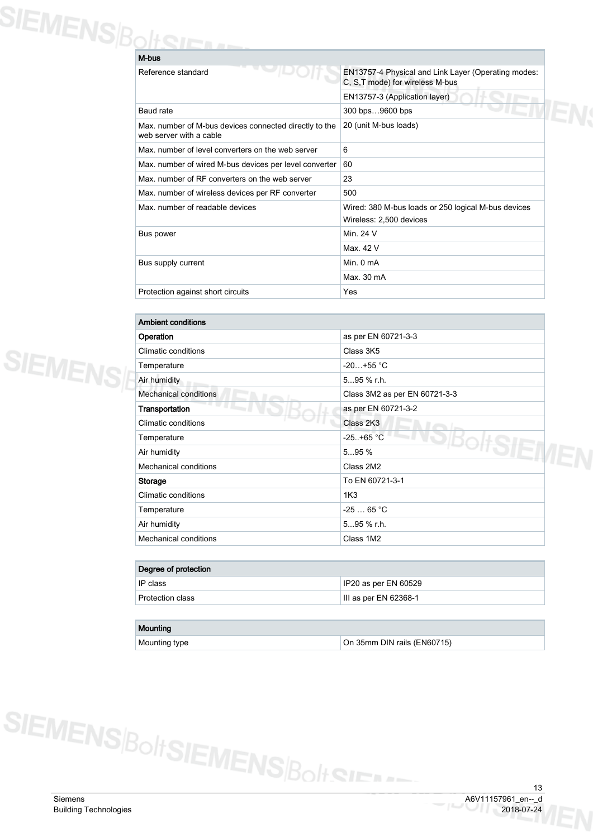| SIEMENS BoltSU |                                                                                   |                                                                                        |
|----------------|-----------------------------------------------------------------------------------|----------------------------------------------------------------------------------------|
|                | M-bus                                                                             |                                                                                        |
|                | Reference standard                                                                | EN13757-4 Physical and Link Layer (Operating modes:<br>C, S,T mode) for wireless M-bus |
|                |                                                                                   | EN13757-3 (Application layer)                                                          |
|                | Baud rate                                                                         | 300 bps9600 bps                                                                        |
|                | Max. number of M-bus devices connected directly to the<br>web server with a cable | 20 (unit M-bus loads)                                                                  |
|                | Max, number of level converters on the web server                                 | 6                                                                                      |
|                | Max. number of wired M-bus devices per level converter                            | 60                                                                                     |
|                | Max, number of RF converters on the web server                                    | 23                                                                                     |
|                | Max. number of wireless devices per RF converter                                  | 500                                                                                    |
|                | Max, number of readable devices                                                   | Wired: 380 M-bus loads or 250 logical M-bus devices<br>Wireless: 2,500 devices         |
|                | Bus power                                                                         | Min. 24 V                                                                              |
|                |                                                                                   | Max. 42 V                                                                              |
|                | Bus supply current                                                                | Min. $0mA$                                                                             |
|                |                                                                                   | Max. 30 mA                                                                             |
|                | Protection against short circuits                                                 | Yes                                                                                    |

| <b>Ambient conditions</b>    |                               |  |
|------------------------------|-------------------------------|--|
| Operation                    | as per EN 60721-3-3           |  |
| Climatic conditions          | Class 3K5                     |  |
| Temperature                  | $-20+55$ °C                   |  |
| Air humidity                 | 595 % r.h.                    |  |
| <b>Mechanical conditions</b> | Class 3M2 as per EN 60721-3-3 |  |
| Transportation               | as per EN 60721-3-2           |  |
| Climatic conditions          | Class 2K3                     |  |
| Temperature                  | $-25. + 65 °C$                |  |
| Air humidity                 | 595%                          |  |
| Mechanical conditions        | Class 2M2                     |  |
| Storage                      | To EN 60721-3-1               |  |
| Climatic conditions          | 1K <sub>3</sub>               |  |
| Temperature                  | $-2565 °C$                    |  |
| Air humidity                 | 595 % r.h.                    |  |
| <b>Mechanical conditions</b> | Class 1M2                     |  |

| Degree of protection |                       |  |
|----------------------|-----------------------|--|
| IP class             | IP20 as per EN 60529  |  |
| Protection class     | III as per EN 62368-1 |  |
|                      |                       |  |

| Mounting      |                             |
|---------------|-----------------------------|
| Mounting type | On 35mm DIN rails (EN60715) |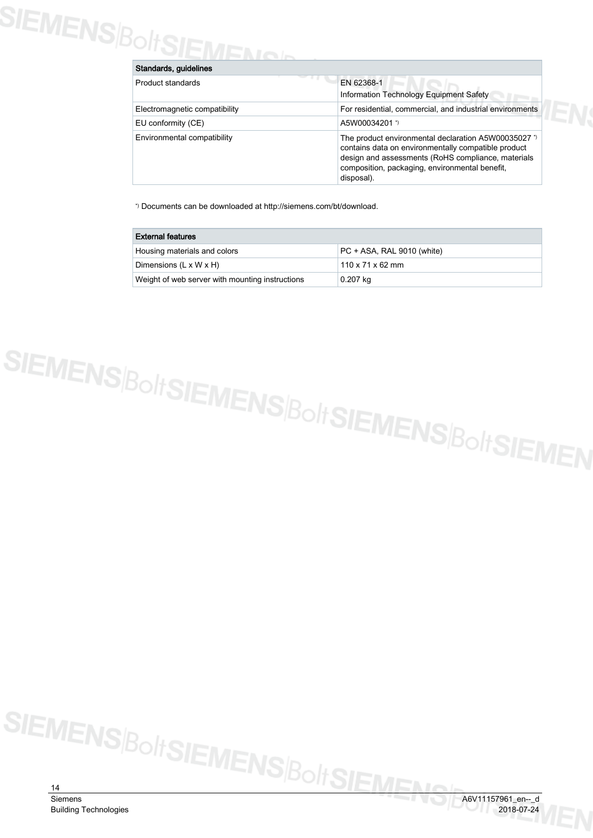# SIEMENS/BoltSIEMEN

| Standards, guidelines         |                                                                                                                                                                                                                                   |  |
|-------------------------------|-----------------------------------------------------------------------------------------------------------------------------------------------------------------------------------------------------------------------------------|--|
| Product standards             | EN 62368-1<br>Information Technology Equipment Safety                                                                                                                                                                             |  |
| Electromagnetic compatibility | For residential, commercial, and industrial environments                                                                                                                                                                          |  |
| EU conformity (CE)            | A5W00034201 *)                                                                                                                                                                                                                    |  |
| Environmental compatibility   | The product environmental declaration A5W00035027 *)<br>contains data on environmentally compatible product<br>design and assessments (RoHS compliance, materials<br>composition, packaging, environmental benefit,<br>disposal). |  |

\*) Documents can be downloaded at http://siemens.com/bt/download.

| <b>External features</b>                        |                              |  |
|-------------------------------------------------|------------------------------|--|
| Housing materials and colors                    | PC + ASA, RAL 9010 (white)   |  |
| Dimensions $(L \times W \times H)$              | $110 \times 71 \times 62$ mm |  |
| Weight of web server with mounting instructions | 0.207 kg                     |  |

SIEMENS|BoltSIEMENS|BoltSIEMENS|BoltSIEMEN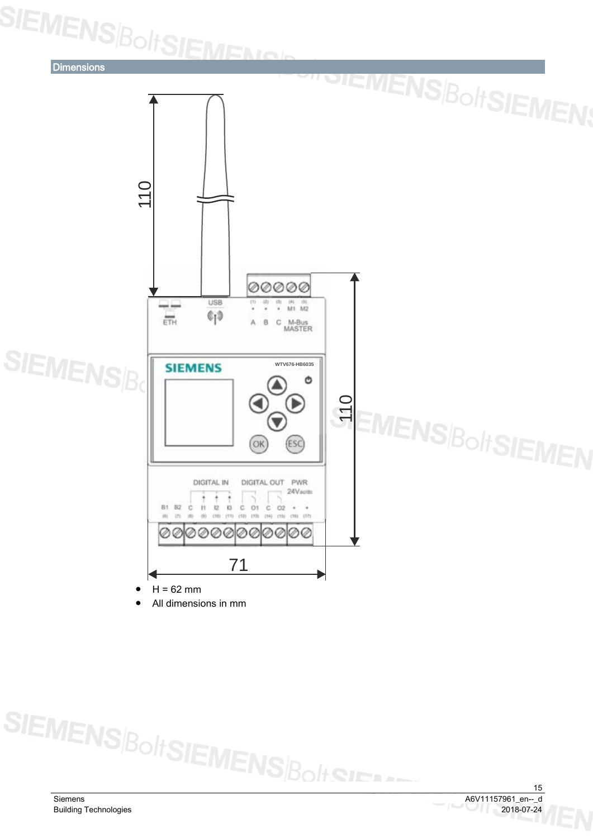SIEMENS<sub>Bolt</sub>SIEMENG